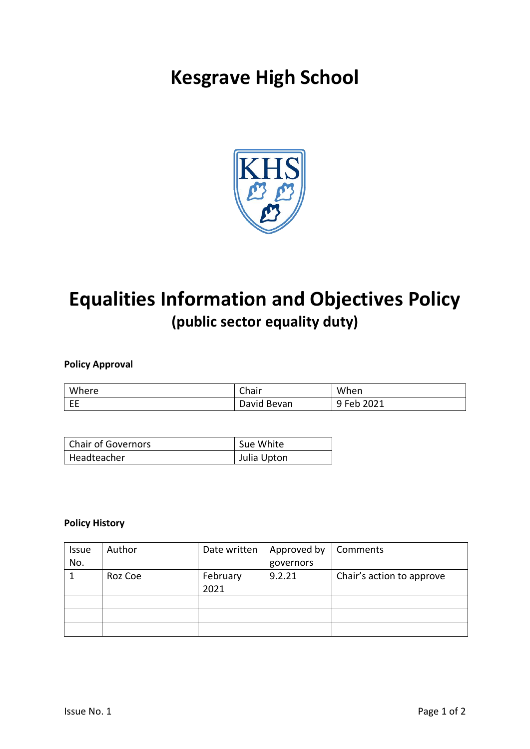# **Kesgrave High School**



## **Equalities Information and Objectives Policy (public sector equality duty)**

### **Policy Approval**

| Where | Chair       | When                           |
|-------|-------------|--------------------------------|
| EE    | David Bevan | $\degree$ Feb $\angle$<br>2021 |

| Chair of Governors | Sue White   |
|--------------------|-------------|
| Headteacher        | Julia Upton |

### **Policy History**

| <b>Issue</b> | Author  | Date written     | Approved by | Comments                  |
|--------------|---------|------------------|-------------|---------------------------|
| No.          |         |                  | governors   |                           |
|              | Roz Coe | February<br>2021 | 9.2.21      | Chair's action to approve |
|              |         |                  |             |                           |
|              |         |                  |             |                           |
|              |         |                  |             |                           |